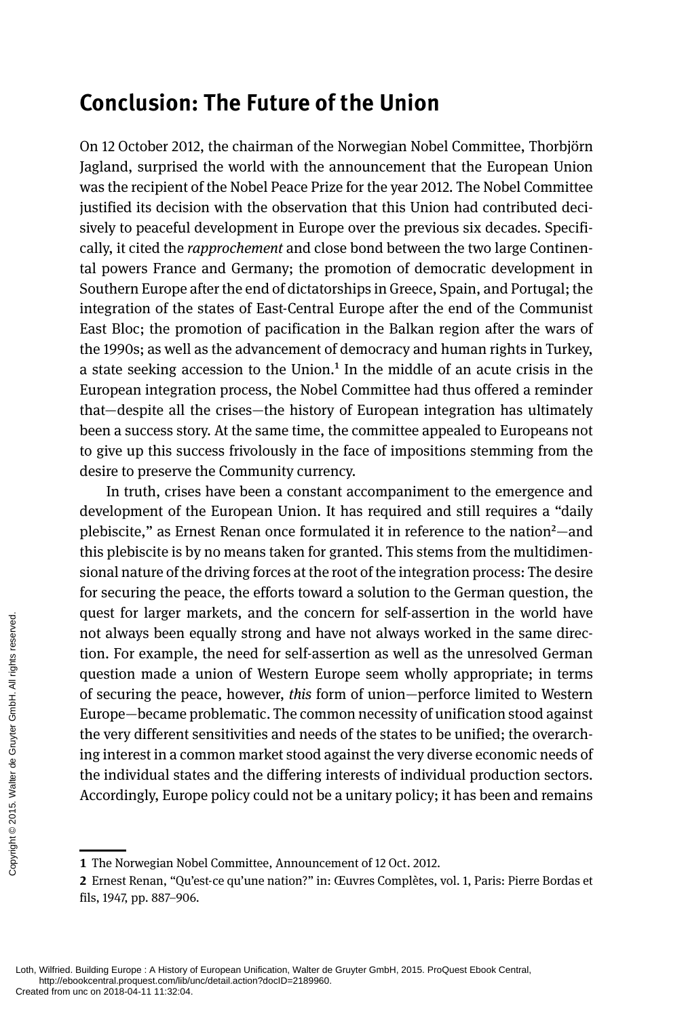## **Conclusion: The Future of the Union**

On 12 October 2012, the chairman of the Norwegian Nobel Committee, Thorbjörn Jagland, surprised the world with the announcement that the European Union was the recipient of the Nobel Peace Prize for the year 2012. The Nobel Committee justified its decision with the observation that this Union had contributed decisively to peaceful development in Europe over the previous six decades. Specifically, it cited the *rapprochement* and close bond between the two large Continental powers France and Germany; the promotion of democratic development in Southern Europe after the end of dictatorships in Greece, Spain, and Portugal; the integration of the states of East-Central Europe after the end of the Communist East Bloc; the promotion of pacification in the Balkan region after the wars of the 1990s; as well as the advancement of democracy and human rights in Turkey, a state seeking accession to the Union.<sup>1</sup> In the middle of an acute crisis in the European integration process, the Nobel Committee had thus offered a reminder that—despite all the crises—the history of European integration has ultimately been a success story. At the same time, the committee appealed to Europeans not to give up this success frivolously in the face of impositions stemming from the desire to preserve the Community currency.

In truth, crises have been a constant accompaniment to the emergence and development of the European Union. It has required and still requires a "daily plebiscite," as Ernest Renan once formulated it in reference to the nation<sup>2</sup>—and this plebiscite is by no means taken for granted. This stems from the multidimensional nature of the driving forces at the root of the integration process: The desire for securing the peace, the efforts toward a solution to the German question, the quest for larger markets, and the concern for self-assertion in the world have not always been equally strong and have not always worked in the same direction. For example, the need for self-assertion as well as the unresolved German question made a union of Western Europe seem wholly appropriate; in terms of securing the peace, however, *this* form of union—perforce limited to Western Europe—became problematic. The common necessity of unification stood against the very different sensitivities and needs of the states to be unified; the overarching interest in a common market stood against the very diverse economic needs of the individual states and the differing interests of individual production sectors. Accordingly, Europe policy could not be a unitary policy; it has been and remains The state of the transmission of always been the transmission made a<br>discussion made a<br>of securing the pe<br>Europe—became p<br>the very different<br>ing interest in a co<br>the individual sta<br>Accordingly, Euro<br> $\frac{200}{200}$ <br> $\frac{60}{20$ 

**<sup>1</sup>** The Norwegian Nobel Committee, Announcement of 12 Oct. 2012.

**<sup>2</sup>** Ernest Renan, "Qu'est-ce qu'une nation?" in: Œuvres Complètes, vol. 1, Paris: Pierre Bordas et fils, 1947, pp. 887–906.

Loth, Wilfried. Building Europe : A History of European Unification, Walter de Gruyter GmbH, 2015. ProQuest Ebook Central, http://ebookcentral.proquest.com/lib/unc/detail.action?docID=2189960.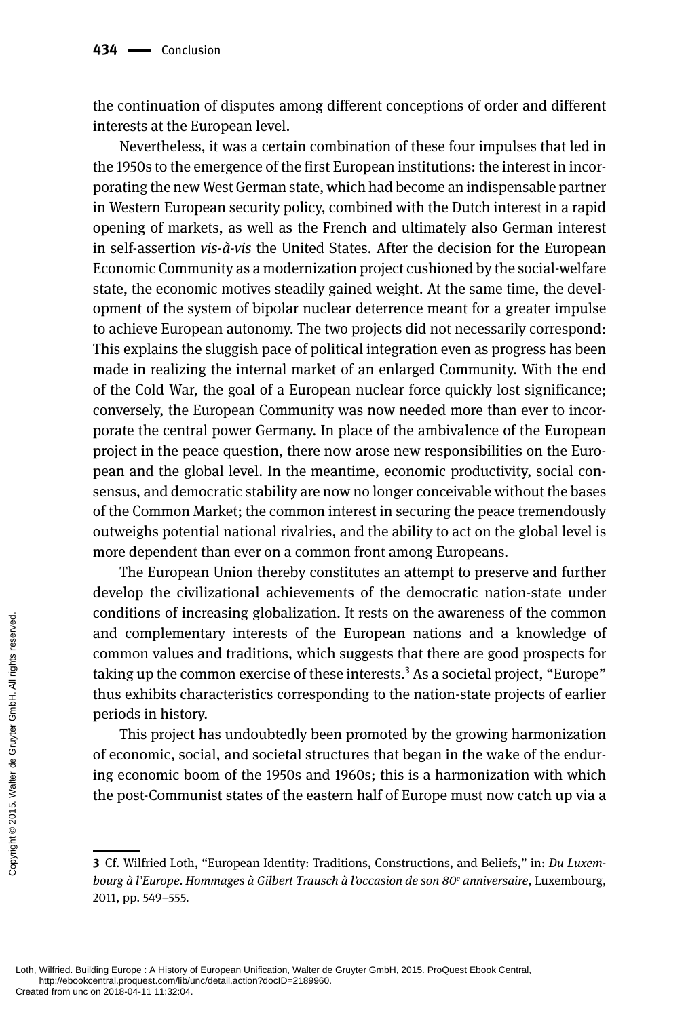the continuation of disputes among different conceptions of order and different interests at the European level.

Nevertheless, it was a certain combination of these four impulses that led in the 1950s to the emergence of the first European institutions: the interest in incorporating the new West German state, which had become an indispensable partner in Western European security policy, combined with the Dutch interest in a rapid opening of markets, as well as the French and ultimately also German interest in self-assertion *vis-à-vis* the United States. After the decision for the European Economic Community as a modernization project cushioned by the social-welfare state, the economic motives steadily gained weight. At the same time, the development of the system of bipolar nuclear deterrence meant for a greater impulse to achieve European autonomy. The two projects did not necessarily correspond: This explains the sluggish pace of political integration even as progress has been made in realizing the internal market of an enlarged Community. With the end of the Cold War, the goal of a European nuclear force quickly lost significance; conversely, the European Community was now needed more than ever to incorporate the central power Germany. In place of the ambivalence of the European project in the peace question, there now arose new responsibilities on the European and the global level. In the meantime, economic productivity, social consensus, and democratic stability are now no longer conceivable without the bases of the Common Market; the common interest in securing the peace tremendously outweighs potential national rivalries, and the ability to act on the global level is more dependent than ever on a common front among Europeans.

The European Union thereby constitutes an attempt to preserve and further develop the civilizational achievements of the democratic nation-state under conditions of increasing globalization. It rests on the awareness of the common and complementary interests of the European nations and a knowledge of common values and traditions, which suggests that there are good prospects for taking up the common exercise of these interests.<sup>3</sup> As a societal project, "Europe" thus exhibits characteristics corresponding to the nation-state projects of earlier periods in history. Continuous of in<br>
and compleme<br>
common values<br>
taking up the cc<br>
thus exhibits ch<br>
periods in histo<br>
This project<br>
of economic, so<br>
ing economic b<br>
the post-Community<br>
Served.<br>
This project<br>
of economic b<br>
the post-Communi

This project has undoubtedly been promoted by the growing harmonization of economic, social, and societal structures that began in the wake of the enduring economic boom of the 1950s and 1960s; this is a harmonization with which the post-Communist states of the eastern half of Europe must now catch up via a

**<sup>3</sup>** Cf. Wilfried Loth, "European Identity: Traditions, Constructions, and Beliefs," in: *Du Luxembourg à l'Europe. Hommages à Gilbert Trausch à l'occasion de son 80e anniversaire*, Luxembourg, 2011, pp. 549–555.

Loth, Wilfried. Building Europe : A History of European Unification, Walter de Gruyter GmbH, 2015. ProQuest Ebook Central, http://ebookcentral.proquest.com/lib/unc/detail.action?docID=2189960.<br>Created from unc on 2018-04-11 11:32:04.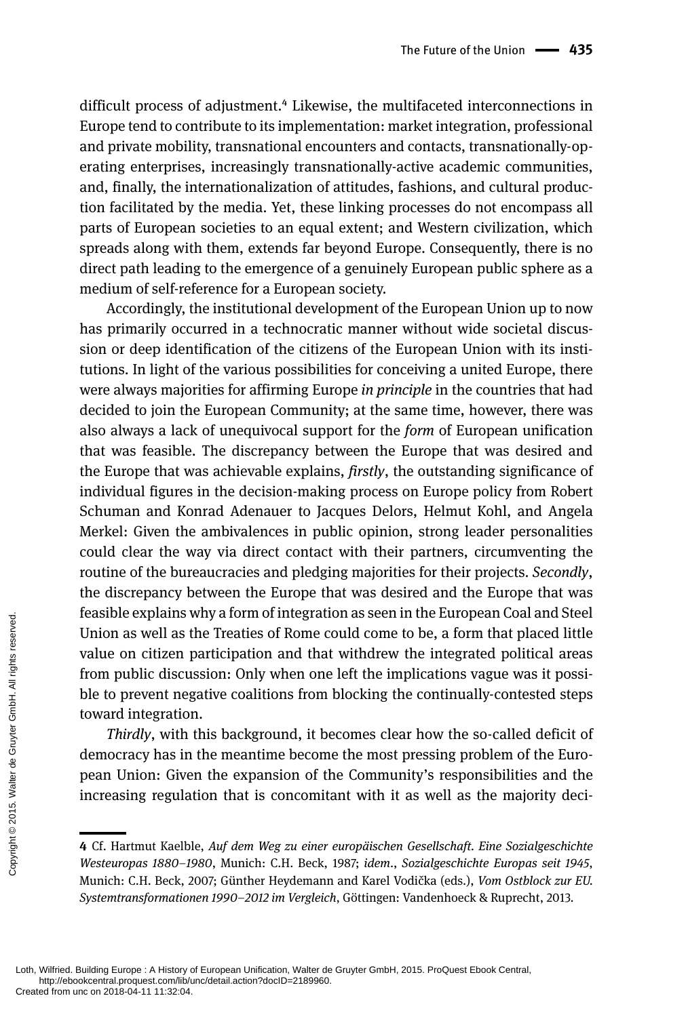difficult process of adjustment.<sup>4</sup> Likewise, the multifaceted interconnections in Europe tend to contribute to its implementation: market integration, professional and private mobility, transnational encounters and contacts, transnationally-operating enterprises, increasingly transnationally-active academic communities, and, finally, the internationalization of attitudes, fashions, and cultural production facilitated by the media. Yet, these linking processes do not encompass all parts of European societies to an equal extent; and Western civilization, which spreads along with them, extends far beyond Europe. Consequently, there is no direct path leading to the emergence of a genuinely European public sphere as a medium of self-reference for a European society.

Accordingly, the institutional development of the European Union up to now has primarily occurred in a technocratic manner without wide societal discussion or deep identification of the citizens of the European Union with its institutions. In light of the various possibilities for conceiving a united Europe, there were always majorities for affirming Europe *in principle* in the countries that had decided to join the European Community; at the same time, however, there was also always a lack of unequivocal support for the *form* of European unification that was feasible. The discrepancy between the Europe that was desired and the Europe that was achievable explains, *firstly*, the outstanding significance of individual figures in the decision-making process on Europe policy from Robert Schuman and Konrad Adenauer to Jacques Delors, Helmut Kohl, and Angela Merkel: Given the ambivalences in public opinion, strong leader personalities could clear the way via direct contact with their partners, circumventing the routine of the bureaucracies and pledging majorities for their projects. *Secondly*, the discrepancy between the Europe that was desired and the Europe that was feasible explains why a form of integration as seen in the European Coal and Steel Union as well as the Treaties of Rome could come to be, a form that placed little value on citizen participation and that withdrew the integrated political areas from public discussion: Only when one left the implications vague was it possible to prevent negative coalitions from blocking the continually-contested steps toward integration. From public discurses and the contract on the contract of the contract of the contract of the contract of the democracy has in pean Union: Give increasing regula<br>
and the copyright of the democracy has in pean Union: Give

*Thirdly*, with this background, it becomes clear how the so-called deficit of democracy has in the meantime become the most pressing problem of the European Union: Given the expansion of the Community's responsibilities and the increasing regulation that is concomitant with it as well as the majority deci-

**<sup>4</sup>** Cf. Hartmut Kaelble, *Auf dem Weg zu einer europäischen Gesellschaft. Eine Sozialgeschichte Westeuropas 1880–1980*, Munich: C.H. Beck, 1987; *idem*., *Sozialgeschichte Europas seit 1945*, Munich: C.H. Beck, 2007; Günther Heydemann and Karel Vodička (eds.), *Vom Ostblock zur EU. Systemtransformationen 1990–2012 im Vergleich*, Göttingen: Vandenhoeck & Ruprecht, 2013.

Loth, Wilfried. Building Europe : A History of European Unification, Walter de Gruyter GmbH, 2015. ProQuest Ebook Central, http://ebookcentral.proquest.com/lib/unc/detail.action?docID=2189960.<br>Created from unc on 2018-04-11 11:32:04.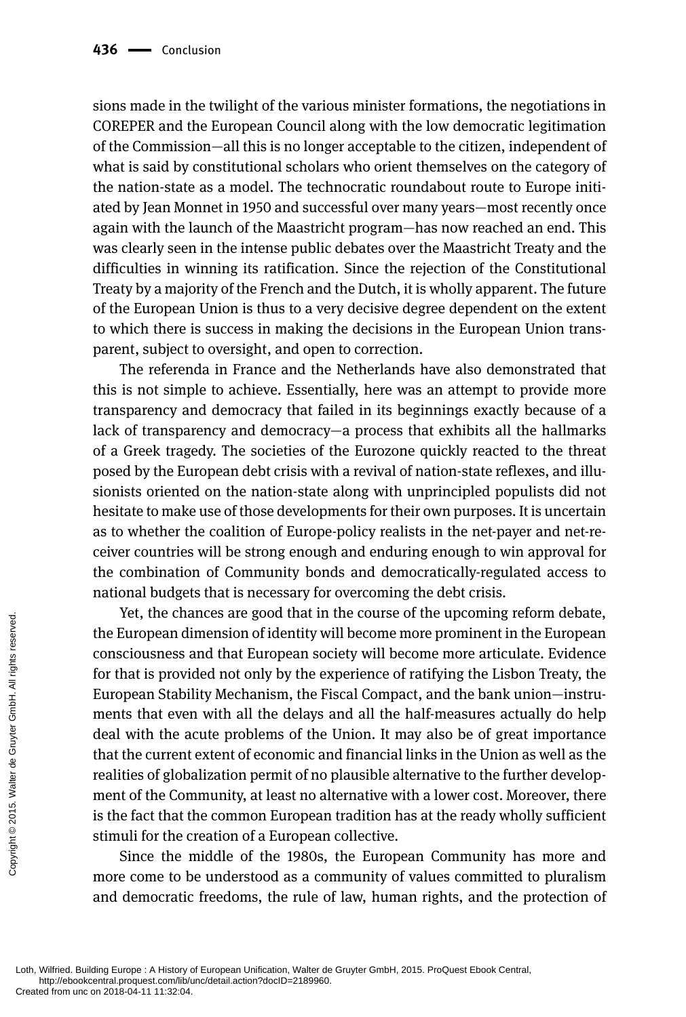sions made in the twilight of the various minister formations, the negotiations in COREPER and the European Council along with the low democratic legitimation of the Commission—all this is no longer acceptable to the citizen, independent of what is said by constitutional scholars who orient themselves on the category of the nation-state as a model. The technocratic roundabout route to Europe initiated by Jean Monnet in 1950 and successful over many years—most recently once again with the launch of the Maastricht program—has now reached an end. This was clearly seen in the intense public debates over the Maastricht Treaty and the difficulties in winning its ratification. Since the rejection of the Constitutional Treaty by a majority of the French and the Dutch, it is wholly apparent. The future of the European Union is thus to a very decisive degree dependent on the extent to which there is success in making the decisions in the European Union transparent, subject to oversight, and open to correction.

The referenda in France and the Netherlands have also demonstrated that this is not simple to achieve. Essentially, here was an attempt to provide more transparency and democracy that failed in its beginnings exactly because of a lack of transparency and democracy—a process that exhibits all the hallmarks of a Greek tragedy. The societies of the Eurozone quickly reacted to the threat posed by the European debt crisis with a revival of nation-state reflexes, and illusionists oriented on the nation-state along with unprincipled populists did not hesitate to make use of those developments for their own purposes. It is uncertain as to whether the coalition of Europe-policy realists in the net-payer and net-receiver countries will be strong enough and enduring enough to win approval for the combination of Community bonds and democratically-regulated access to national budgets that is necessary for overcoming the debt crisis.

Yet, the chances are good that in the course of the upcoming reform debate, the European dimension of identity will become more prominent in the European consciousness and that European society will become more articulate. Evidence for that is provided not only by the experience of ratifying the Lisbon Treaty, the European Stability Mechanism, the Fiscal Compact, and the bank union—instruments that even with all the delays and all the half-measures actually do help deal with the acute problems of the Union. It may also be of great importance that the current extent of economic and financial links in the Union as well as the realities of globalization permit of no plausible alternative to the further development of the Community, at least no alternative with a lower cost. Moreover, there is the fact that the common European tradition has at the ready wholly sufficient stimuli for the creation of a European collective. Fig. the Cure<br>
the European di<br>
tonsciousness a<br>
for that is provident in the control of the Grupter<br>
deal with the a<br>
that the current<br>
realities of globs<br>
ment of the Control is the fact that the control is<br>
served. Sim

Since the middle of the 1980s, the European Community has more and more come to be understood as a community of values committed to pluralism and democratic freedoms, the rule of law, human rights, and the protection of

Loth, Wilfried. Building Europe : A History of European Unification, Walter de Gruyter GmbH, 2015. ProQuest Ebook Central, http://ebookcentral.proquest.com/lib/unc/detail.action?docID=2189960.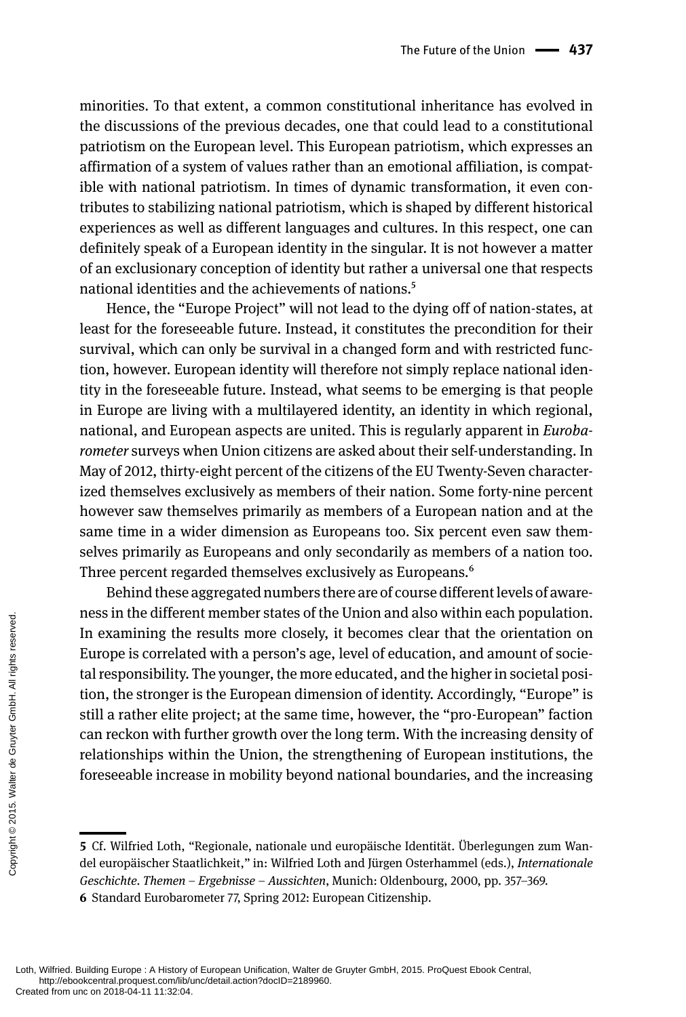minorities. To that extent, a common constitutional inheritance has evolved in the discussions of the previous decades, one that could lead to a constitutional patriotism on the European level. This European patriotism, which expresses an affirmation of a system of values rather than an emotional affiliation, is compatible with national patriotism. In times of dynamic transformation, it even contributes to stabilizing national patriotism, which is shaped by different historical experiences as well as different languages and cultures. In this respect, one can definitely speak of a European identity in the singular. It is not however a matter of an exclusionary conception of identity but rather a universal one that respects national identities and the achievements of nations.5

Hence, the "Europe Project" will not lead to the dying off of nation-states, at least for the foreseeable future. Instead, it constitutes the precondition for their survival, which can only be survival in a changed form and with restricted function, however. European identity will therefore not simply replace national identity in the foreseeable future. Instead, what seems to be emerging is that people in Europe are living with a multilayered identity, an identity in which regional, national, and European aspects are united. This is regularly apparent in *Eurobarometer* surveys when Union citizens are asked about their self-understanding. In May of 2012, thirty-eight percent of the citizens of the EU Twenty-Seven characterized themselves exclusively as members of their nation. Some forty-nine percent however saw themselves primarily as members of a European nation and at the same time in a wider dimension as Europeans too. Six percent even saw themselves primarily as Europeans and only secondarily as members of a nation too. Three percent regarded themselves exclusively as Europeans.<sup>6</sup>

Behind these aggregated numbers there are of course different levels of awareness in the different member states of the Union and also within each population. In examining the results more closely, it becomes clear that the orientation on Europe is correlated with a person's age, level of education, and amount of societal responsibility. The younger, the more educated, and the higher in societal position, the stronger is the European dimension of identity. Accordingly, "Europe" is still a rather elite project; at the same time, however, the "pro-European" faction can reckon with further growth over the long term. With the increasing density of relationships within the Union, the strengthening of European institutions, the foreseeable increase in mobility beyond national boundaries, and the increasing The examining the<br>
Lurope is correlated tal responsibility.<br>
tion, the stronger<br>
still a rather elite<br>
can reckon with fit<br>
relationships with<br>
foreseeable increases<br>
states of the stronger<br>
foreseeable increases<br>
for the

**<sup>5</sup>** Cf. Wilfried Loth, "Regionale, nationale und europäische Identität. Überlegungen zum Wandel europäischer Staatlichkeit," in: Wilfried Loth and Jürgen Osterhammel (eds.), *Internationale Geschichte. Themen – Ergebnisse – Aussichten*, Munich: Oldenbourg, 2000, pp. 357–369. **6** Standard Eurobarometer 77, Spring 2012: European Citizenship.

Loth, Wilfried. Building Europe : A History of European Unification, Walter de Gruyter GmbH, 2015. ProQuest Ebook Central, http://ebookcentral.proquest.com/lib/unc/detail.action?docID=2189960.<br>Created from unc on 2018-04-11 11:32:04.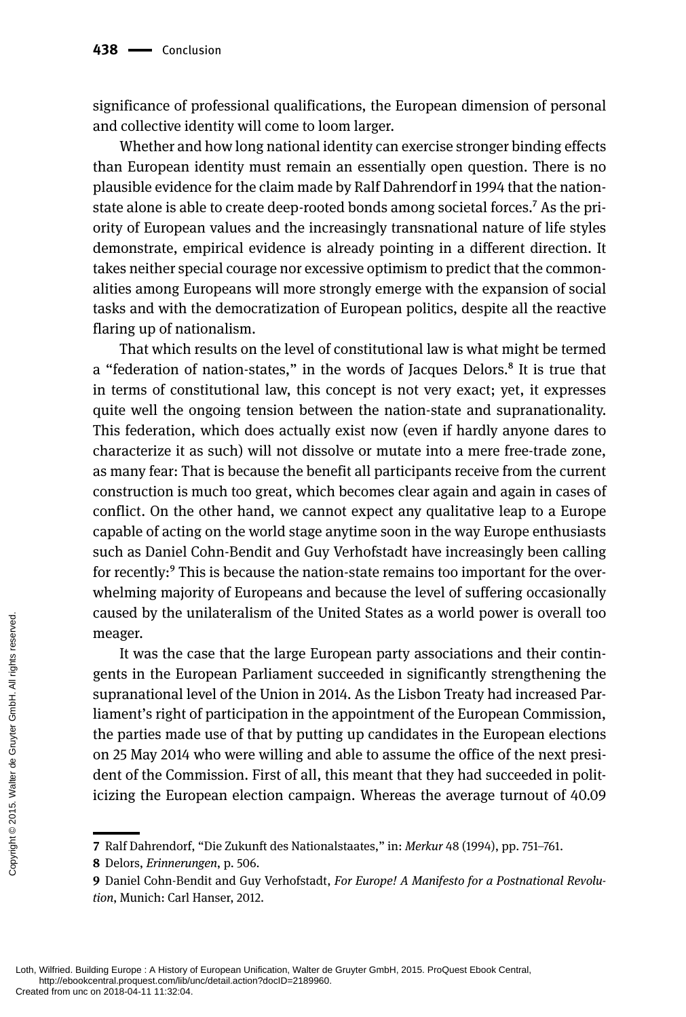significance of professional qualifications, the European dimension of personal and collective identity will come to loom larger.

Whether and how long national identity can exercise stronger binding effects than European identity must remain an essentially open question. There is no plausible evidence for the claim made by Ralf Dahrendorf in 1994 that the nationstate alone is able to create deep-rooted bonds among societal forces.<sup>7</sup> As the priority of European values and the increasingly transnational nature of life styles demonstrate, empirical evidence is already pointing in a different direction. It takes neither special courage nor excessive optimism to predict that the commonalities among Europeans will more strongly emerge with the expansion of social tasks and with the democratization of European politics, despite all the reactive flaring up of nationalism.

That which results on the level of constitutional law is what might be termed a "federation of nation-states," in the words of Jacques Delors.8 It is true that in terms of constitutional law, this concept is not very exact; yet, it expresses quite well the ongoing tension between the nation-state and supranationality. This federation, which does actually exist now (even if hardly anyone dares to characterize it as such) will not dissolve or mutate into a mere free-trade zone, as many fear: That is because the benefit all participants receive from the current construction is much too great, which becomes clear again and again in cases of conflict. On the other hand, we cannot expect any qualitative leap to a Europe capable of acting on the world stage anytime soon in the way Europe enthusiasts such as Daniel Cohn-Bendit and Guy Verhofstadt have increasingly been calling for recently:<sup>9</sup> This is because the nation-state remains too important for the overwhelming majority of Europeans and because the level of suffering occasionally caused by the unilateralism of the United States as a world power is overall too meager.

It was the case that the large European party associations and their contingents in the European Parliament succeeded in significantly strengthening the supranational level of the Union in 2014. As the Lisbon Treaty had increased Parliament's right of participation in the appointment of the European Commission, the parties made use of that by putting up candidates in the European elections on 25 May 2014 who were willing and able to assume the office of the next president of the Commission. First of all, this meant that they had succeeded in politicizing the European election campaign. Whereas the average turnout of 40.09 Created from unc on 2018-04-11 11:32:04.<br>Created from unconceptions of the Copyright Created from unconceptions of the Copyright of the Copyright of the Compositions of the Composition Created from uncon 2018-04-11 11:32:0

**<sup>7</sup>** Ralf Dahrendorf, "Die Zukunft des Nationalstaates," in: *Merkur* 48 (1994), pp. 751–761.

**<sup>8</sup>** Delors, *Erinnerungen*, p. 506.

**<sup>9</sup>** Daniel Cohn-Bendit and Guy Verhofstadt, *For Europe! A Manifesto for a Postnational Revolution*, Munich: Carl Hanser, 2012.

Loth, Wilfried. Building Europe : A History of European Unification, Walter de Gruyter GmbH, 2015. ProQuest Ebook Central, http://ebookcentral.proquest.com/lib/unc/detail.action?docID=2189960.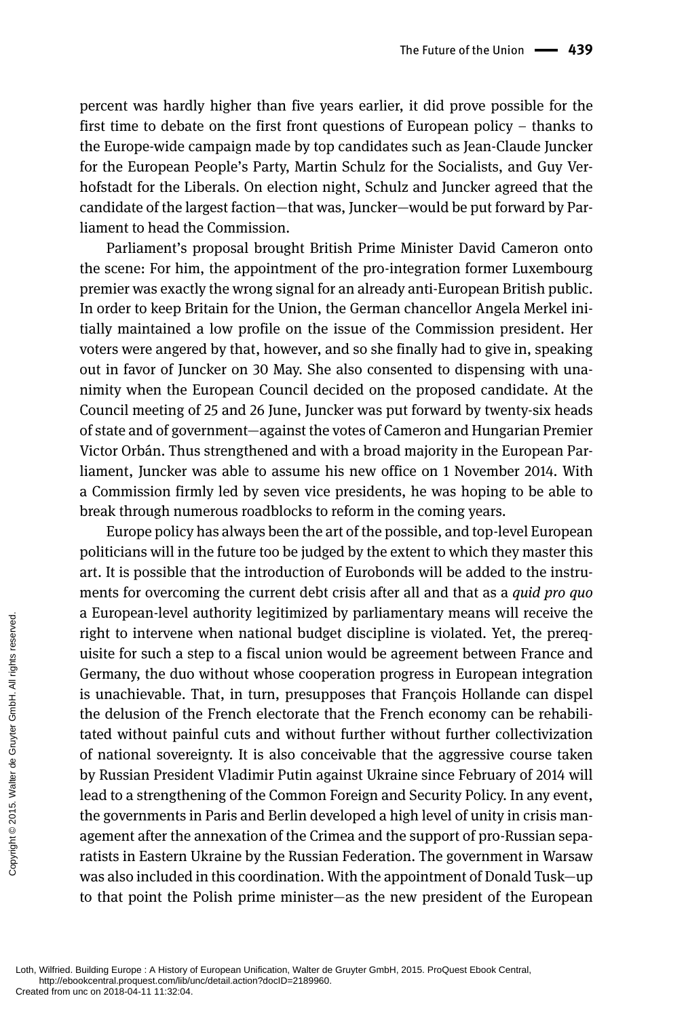percent was hardly higher than five years earlier, it did prove possible for the first time to debate on the first front questions of European policy – thanks to the Europe-wide campaign made by top candidates such as Jean-Claude Juncker for the European People's Party, Martin Schulz for the Socialists, and Guy Verhofstadt for the Liberals. On election night, Schulz and Juncker agreed that the candidate of the largest faction—that was, Juncker—would be put forward by Parliament to head the Commission.

Parliament's proposal brought British Prime Minister David Cameron onto the scene: For him, the appointment of the pro-integration former Luxembourg premier was exactly the wrong signal for an already anti-European British public. In order to keep Britain for the Union, the German chancellor Angela Merkel initially maintained a low profile on the issue of the Commission president. Her voters were angered by that, however, and so she finally had to give in, speaking out in favor of Juncker on 30 May. She also consented to dispensing with unanimity when the European Council decided on the proposed candidate. At the Council meeting of 25 and 26 June, Juncker was put forward by twenty-six heads of state and of government—against the votes of Cameron and Hungarian Premier Victor Orbán. Thus strengthened and with a broad majority in the European Parliament, Juncker was able to assume his new office on 1 November 2014. With a Commission firmly led by seven vice presidents, he was hoping to be able to break through numerous roadblocks to reform in the coming years.

Europe policy has always been the art of the possible, and top-level European politicians will in the future too be judged by the extent to which they master this art. It is possible that the introduction of Eurobonds will be added to the instruments for overcoming the current debt crisis after all and that as a *quid pro quo* a European-level authority legitimized by parliamentary means will receive the right to intervene when national budget discipline is violated. Yet, the prerequisite for such a step to a fiscal union would be agreement between France and Germany, the duo without whose cooperation progress in European integration is unachievable. That, in turn, presupposes that François Hollande can dispel the delusion of the French electorate that the French economy can be rehabilitated without painful cuts and without further without further collectivization of national sovereignty. It is also conceivable that the aggressive course taken by Russian President Vladimir Putin against Ukraine since February of 2014 will lead to a strengthening of the Common Foreign and Security Policy. In any event, the governments in Paris and Berlin developed a high level of unity in crisis management after the annexation of the Crimea and the support of pro-Russian separatists in Eastern Ukraine by the Russian Federation. The government in Warsaw was also included in this coordination. With the appointment of Donald Tusk—up to that point the Polish prime minister—as the new president of the European d European-iever<br>
right to intervene<br>
uisite for such a s<br>
Germany, the duc<br>
is unachievable.<br>
the delusion of the<br>
tated without pai<br>
of national soverved<br>
by Russian Presid<br>
lead to a strengthe<br>
the governments is<br>
agem

Loth, Wilfried. Building Europe : A History of European Unification, Walter de Gruyter GmbH, 2015. ProQuest Ebook Central, http://ebookcentral.proquest.com/lib/unc/detail.action?docID=2189960.<br>Created from unc on 2018-04-11 11:32:04.